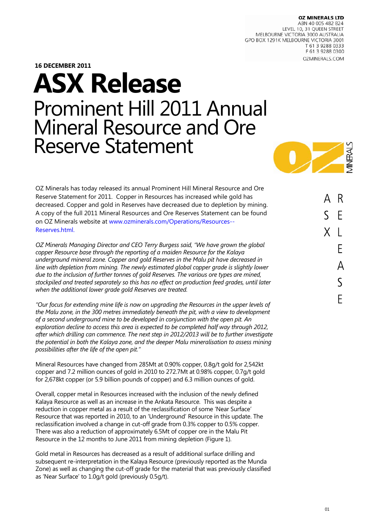**OZ MINERALS LTD** 

ABN 40 005 482 824 LEVEL 10, 31 QUEEN STREET MELBOURNE VICTORIA 3000 AUSTRALIA GPO BOX 1291K MELBOURNE VICTORIA 3001 T 61 3 9288 0333 F 61 3 9288 0300 OZMINERALS.COM

**16 DECEMBER 2011** 

# **ASX Release**  Prominent Hill 2011 Annual Mineral Resource and Ore Reserve Statement



OZ Minerals has today released its annual Prominent Hill Mineral Resource and Ore Reserve Statement for 2011. Copper in Resources has increased while gold has decreased. Copper and gold in Reserves have decreased due to depletion by mining. A copy of the full 2011 Mineral Resources and Ore Reserves Statement can be found on OZ Minerals website at www.ozminerals.com/Operations/Resources-- Reserves.html.

*OZ Minerals Managing Director and CEO Terry Burgess said, "We have grown the global copper Resource base through the reporting of a maiden Resource for the Kalaya underground mineral zone. Copper and gold Reserves in the Malu pit have decreased in line with depletion from mining. The newly estimated global copper grade is slightly lower due to the inclusion of further tonnes of gold Reserves. The various ore types are mined, stockpiled and treated separately so this has no effect on production feed grades, until later when the additional lower grade gold Reserves are treated.* 

*"Our focus for extending mine life is now on upgrading the Resources in the upper levels of the Malu zone, in the 300 metres immediately beneath the pit, with a view to development of a second underground mine to be developed in conjunction with the open pit. An exploration decline to access this area is expected to be completed half way through 2012, after which drilling can commence. The next step in 2012/2013 will be to further investigate the potential in both the Kalaya zone, and the deeper Malu mineralisation to assess mining possibilities after the life of the open pit."* 

Mineral Resources have changed from 285Mt at 0.90% copper, 0.8g/t gold for 2,542kt copper and 7.2 million ounces of gold in 2010 to 272.7Mt at 0.98% copper, 0.7g/t gold for 2,678kt copper (or 5.9 billion pounds of copper) and 6.3 million ounces of gold.

Overall, copper metal in Resources increased with the inclusion of the newly defined Kalaya Resource as well as an increase in the Ankata Resource. This was despite a reduction in copper metal as a result of the reclassification of some 'Near Surface' Resource that was reported in 2010, to an 'Underground' Resource in this update. The reclassification involved a change in cut-off grade from 0.3% copper to 0.5% copper. There was also a reduction of approximately 6.5Mt of copper ore in the Malu Pit Resource in the 12 months to June 2011 from mining depletion (Figure 1).

Gold metal in Resources has decreased as a result of additional surface drilling and subsequent re-interpretation in the Kalaya Resource (previously reported as the Munda Zone) as well as changing the cut-off grade for the material that was previously classified as 'Near Surface' to 1.0g/t gold (previously 0.5g/t).

R F X  $\mathbf{I}$ F А  $\varsigma$ F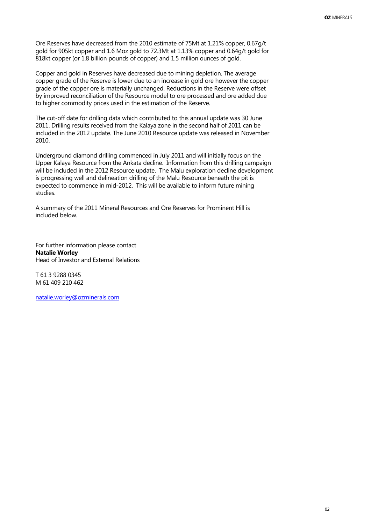Ore Reserves have decreased from the 2010 estimate of 75Mt at 1.21% copper, 0.67g/t gold for 905kt copper and 1.6 Moz gold to 72.3Mt at 1.13% copper and 0.64g/t gold for 818kt copper (or 1.8 billion pounds of copper) and 1.5 million ounces of gold.

Copper and gold in Reserves have decreased due to mining depletion. The average copper grade of the Reserve is lower due to an increase in gold ore however the copper grade of the copper ore is materially unchanged. Reductions in the Reserve were offset by improved reconciliation of the Resource model to ore processed and ore added due to higher commodity prices used in the estimation of the Reserve.

The cut-off date for drilling data which contributed to this annual update was 30 June 2011. Drilling results received from the Kalaya zone in the second half of 2011 can be included in the 2012 update. The June 2010 Resource update was released in November 2010.

Underground diamond drilling commenced in July 2011 and will initially focus on the Upper Kalaya Resource from the Ankata decline. Information from this drilling campaign will be included in the 2012 Resource update. The Malu exploration decline development is progressing well and delineation drilling of the Malu Resource beneath the pit is expected to commence in mid-2012. This will be available to inform future mining studies.

A summary of the 2011 Mineral Resources and Ore Reserves for Prominent Hill is included below.

For further information please contact **Natalie Worley**  Head of Investor and External Relations

T 61 3 9288 0345 M 61 409 210 462

[natalie.worley@ozminerals.com](mailto:natalie.worley@ozminerals.com)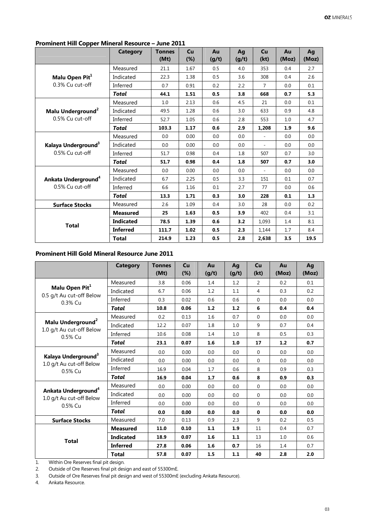|                                 | <b>Category</b>  | <b>Tonnes</b><br>(Mt) | Cu<br>$(\%)$ | Au<br>(g/t) | Ag<br>(g/t) | Cu<br>(kt)     | Au<br>(Moz) | Aq<br>(Moz) |
|---------------------------------|------------------|-----------------------|--------------|-------------|-------------|----------------|-------------|-------------|
|                                 | Measured         | 21.1                  | 1.67         | 0.5         | 4.0         | 353            | 0.4         | 2.7         |
| Malu Open Pit <sup>1</sup>      | Indicated        | 22.3                  | 1.38         | 0.5         | 3.6         | 308            | 0.4         | 2.6         |
| 0.3% Cu cut-off                 | Inferred         | 0.7                   | 0.91         | 0.2         | 2.2         | $\overline{7}$ | 0.0         | 0.1         |
|                                 | <b>Total</b>     | 44.1                  | 1.51         | 0.5         | 3.8         | 668            | 0.7         | 5.3         |
|                                 | Measured         | 1.0                   | 2.13         | 0.6         | 4.5         | 21             | 0.0         | 0.1         |
| Malu Underground <sup>2</sup>   | Indicated        | 49.5                  | 1.28         | 0.6         | 3.0         | 633            | 0.9         | 4.8         |
| 0.5% Cu cut-off                 | Inferred         | 52.7                  | 1.05         | 0.6         | 2.8         | 553            | 1.0         | 4.7         |
|                                 | <b>Total</b>     | 103.3                 | 1.17         | 0.6         | 2.9         | 1,208          | 1.9         | 9.6         |
|                                 | Measured         | 0.0                   | 0.00         | 0.0         | 0.0         |                | 0.0         | 0.0         |
| Kalaya Underground <sup>3</sup> | Indicated        | 0.0                   | 0.00         | 0.0         | 0.0         | ÷,             | 0.0         | 0.0         |
| 0.5% Cu cut-off                 | Inferred         | 51.7                  | 0.98         | 0.4         | 1.8         | 507            | 0.7         | 3.0         |
|                                 | <b>Total</b>     | 51.7                  | 0.98         | 0.4         | 1.8         | 507            | 0.7         | 3.0         |
|                                 | Measured         | 0.0                   | 0.00         | 0.0         | 0.0         |                | 0.0         | 0.0         |
| Ankata Underground <sup>4</sup> | Indicated        | 6.7                   | 2.25         | 0.5         | 3.3         | 151            | 0.1         | 0.7         |
| $0.5\%$ Cu cut-off              | Inferred         | 6.6                   | 1.16         | 0.1         | 2.7         | 77             | 0.0         | 0.6         |
|                                 | <b>Total</b>     | 13.3                  | 1.71         | 0.3         | 3.0         | 228            | 0.1         | 1.3         |
| <b>Surface Stocks</b>           | Measured         | 2.6                   | 1.09         | 0.4         | 3.0         | 28             | 0.0         | 0.2         |
| <b>Total</b>                    | <b>Measured</b>  | 25                    | 1.63         | 0.5         | 3.9         | 402            | 0.4         | 3.1         |
|                                 | <b>Indicated</b> | 78.5                  | 1.39         | 0.6         | 3.2         | 1,093          | 1.4         | 8.1         |
|                                 | <b>Inferred</b>  | 111.7                 | 1.02         | 0.5         | 2.3         | 1,144          | 1.7         | 8.4         |
|                                 | <b>Total</b>     | 214.9                 | 1.23         | 0.5         | 2.8         | 2,638          | 3.5         | 19.5        |

## **Prominent Hill Copper Mineral Resource – June 2011**

# **Prominent Hill Gold Mineral Resource June 2011**

|                                                                        | Category         | <b>Tonnes</b><br>(Mt) | Cu<br>(%) | Au<br>(g/t) | Aq<br>(g/t) | Cu<br>(kt)     | Au<br>(Moz) | Aq<br>(Moz) |
|------------------------------------------------------------------------|------------------|-----------------------|-----------|-------------|-------------|----------------|-------------|-------------|
| Malu Open Pit <sup>1</sup>                                             | Measured         | 3.8                   | 0.06      | 1.4         | 1.2         | $\mathcal{P}$  | 0.2         | 0.1         |
|                                                                        | Indicated        | 6.7                   | 0.06      | 1.2         | 1.1         | $\overline{4}$ | 0.3         | 0.2         |
| 0.5 g/t Au cut-off Below<br>0.3% Cu                                    | Inferred         | 0.3                   | 0.02      | 0.6         | 0.6         | $\Omega$       | 0.0         | 0.0         |
|                                                                        | Total            | 10.8                  | 0.06      | 1.2         | 1.2         | 6              | 0.4         | 0.4         |
|                                                                        | Measured         | 0.2                   | 0.13      | 1.6         | 0.7         | $\Omega$       | 0.0         | 0.0         |
| Malu Underground <sup>2</sup>                                          | Indicated        | 12.2                  | 0.07      | 1.8         | 1.0         | 9              | 0.7         | 0.4         |
| 1.0 g/t Au cut-off Below<br>0.5% Cu                                    | Inferred         | 10.6                  | 0.08      | 1.4         | 1.0         | 8              | 0.5         | 0.3         |
|                                                                        | <b>Total</b>     | 23.1                  | 0.07      | 1.6         | 1.0         | 17             | 1.2         | 0.7         |
| Kalaya Underground <sup>3</sup><br>1.0 g/t Au cut-off Below<br>0.5% Cu | Measured         | 0.0                   | 0.00      | 0.0         | 0.0         | $\Omega$       | 0.0         | 0.0         |
|                                                                        | Indicated        | 0.0                   | 0.00      | 0.0         | 0.0         | $\Omega$       | 0.0         | 0.0         |
|                                                                        | Inferred         | 16.9                  | 0.04      | 1.7         | 0.6         | 8              | 0.9         | 0.3         |
|                                                                        | Total            | 16.9                  | 0.04      | 1.7         | 0.6         | 8              | 0.9         | 0.3         |
|                                                                        | Measured         | 0.0                   | 0.00      | 0.0         | 0.0         | $\mathbf 0$    | 0.0         | 0.0         |
| Ankata Underground <sup>4</sup><br>1.0 g/t Au cut-off Below            | Indicated        | 0.0                   | 0.00      | 0.0         | 0.0         | $\Omega$       | 0.0         | 0.0         |
| 0.5% Cu                                                                | Inferred         | 0.0                   | 0.00      | 0.0         | 0.0         | $\Omega$       | 0.0         | 0.0         |
|                                                                        | <b>Total</b>     | 0.0                   | 0.00      | 0.0         | 0.0         | $\mathbf{0}$   | 0.0         | 0.0         |
| <b>Surface Stocks</b>                                                  | Measured         | 7.0                   | 0.13      | 0.9         | 2.3         | 9              | 0.2         | 0.5         |
| <b>Total</b>                                                           | <b>Measured</b>  | 11.0                  | 0.10      | 1.1         | 1.9         | 11             | 0.4         | 0.7         |
|                                                                        | <b>Indicated</b> | 18.9                  | 0.07      | 1.6         | 1.1         | 13             | 1.0         | 0.6         |
|                                                                        | <b>Inferred</b>  | 27.8                  | 0.06      | 1.6         | 0.7         | 16             | 1.4         | 0.7         |
|                                                                        | <b>Total</b>     | 57.8                  | 0.07      | 1.5         | 1.1         | 40             | 2.8         | 2.0         |

1. Within Ore Reserves final pit design.

2. Outside of Ore Reserves final pit design and east of 55300mE.

3. Outside of Ore Reserves final pit design and west of 55300mE (excluding Ankata Resource).

4. Ankata Resource.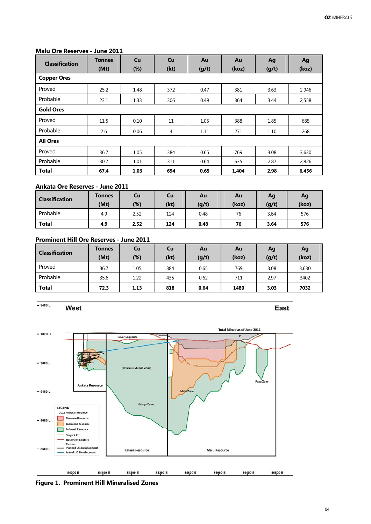#### **Malu Ore Reserves - June 2011**

| <b>Classification</b> | Tonnes<br>(Mt) | <b>Cu</b><br>$(\%)$ | Cu<br>(kt) | Au<br>(g/t) | Au<br>(koz) | Ag<br>(g/t) | Ag<br>(koz) |  |  |
|-----------------------|----------------|---------------------|------------|-------------|-------------|-------------|-------------|--|--|
| <b>Copper Ores</b>    |                |                     |            |             |             |             |             |  |  |
| Proved                | 25.2           | 1.48                | 372        | 0.47        | 381         | 3.63        | 2,946       |  |  |
| Probable              | 23.1           | 1.33                | 306        | 0.49        | 364         | 3.44        | 2,558       |  |  |
| <b>Gold Ores</b>      |                |                     |            |             |             |             |             |  |  |
| Proved                | 11.5           | 0.10                | 11         | 1.05        | 388         | 1.85        | 685         |  |  |
| Probable              | 7.6            | 0.06                | 4          | 1.11        | 271         | 1.10        | 268         |  |  |
| <b>All Ores</b>       |                |                     |            |             |             |             |             |  |  |
| Proved                | 36.7           | 1.05                | 384        | 0.65        | 769         | 3.08        | 3,630       |  |  |
| Probable              | 30.7           | 1.01                | 311        | 0.64        | 635         | 2.87        | 2,826       |  |  |
| <b>Total</b>          | 67.4           | 1.03                | 694        | 0.65        | 1,404       | 2.98        | 6,456       |  |  |

#### **Ankata Ore Reserves - June 2011**

| <b>Classification</b> | <b>Tonnes</b><br>(Mt) | Cu<br>$(\%)$ | Cu<br>(kt) | Au<br>(g/t) | Au<br>(koz) | Ag<br>(g/t) | Ag<br>(koz) |
|-----------------------|-----------------------|--------------|------------|-------------|-------------|-------------|-------------|
| Probable              | 4.9                   | 2.52         | 124        | 0.48        | 76          | 3.64        | 576         |
| <b>Total</b>          | 4.9                   | 2.52         | 124        | 0.48        | 76          | 3.64        | 576         |

### **Prominent Hill Ore Reserves - June 2011**

| <b>Classification</b> | <b>Tonnes</b><br>(Mt) | Cu<br>$(\%)$ | Cu<br>(kt) | Au<br>(g/t) | Au<br>(koz) | Ag<br>(g/t) | Ag<br>(koz) |
|-----------------------|-----------------------|--------------|------------|-------------|-------------|-------------|-------------|
| Proved                | 36.7                  | 1.05         | 384        | 0.65        | 769         | 3.08        | 3,630       |
| Probable              | 35.6                  | 1.22         | 435        | 0.62        | 711         | 2.97        | 3402        |
| <b>Total</b>          | 72.3                  | 1.13         | 818        | 0.64        | 1480        | 3.03        | 7032        |



**Figure 1. Prominent Hill Mineralised Zones**